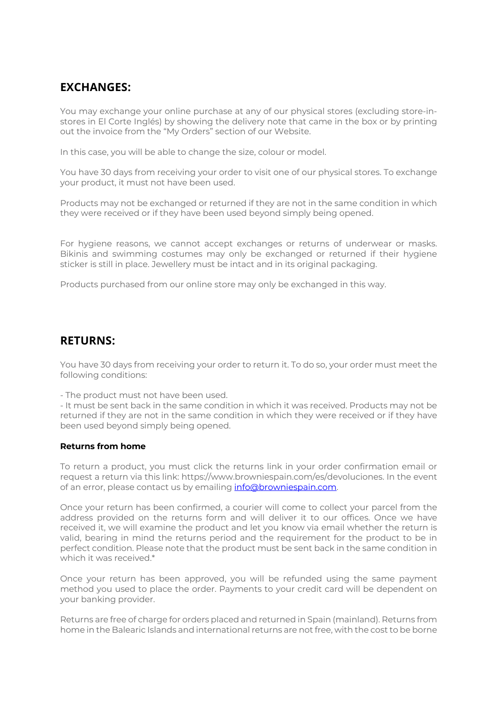## **EXCHANGES:**

You may exchange your online purchase at any of our physical stores (excluding store-instores in El Corte Inglés) by showing the delivery note that came in the box or by printing out the invoice from the "My Orders" section of our Website.

In this case, you will be able to change the size, colour or model.

You have 30 days from receiving your order to visit one of our physical stores. To exchange your product, it must not have been used.

Products may not be exchanged or returned if they are not in the same condition in which they were received or if they have been used beyond simply being opened.

For hygiene reasons, we cannot accept exchanges or returns of underwear or masks. Bikinis and swimming costumes may only be exchanged or returned if their hygiene sticker is still in place. Jewellery must be intact and in its original packaging.

Products purchased from our online store may only be exchanged in this way.

## **RETURNS:**

You have 30 days from receiving your order to return it. To do so, your order must meet the following conditions:

- The product must not have been used.

- It must be sent back in the same condition in which it was received. Products may not be returned if they are not in the same condition in which they were received or if they have been used beyond simply being opened.

## **Returns from home**

To return a product, you must click the returns link in your order confirmation email or request a return via this link: https://www.browniespain.com/es/devoluciones. In the event of an error, please contact us by emailing info@browniespain.com.

Once your return has been confirmed, a courier will come to collect your parcel from the address provided on the returns form and will deliver it to our offices. Once we have received it, we will examine the product and let you know via email whether the return is valid, bearing in mind the returns period and the requirement for the product to be in perfect condition. Please note that the product must be sent back in the same condition in which it was received.\*

Once your return has been approved, you will be refunded using the same payment method you used to place the order. Payments to your credit card will be dependent on your banking provider.

Returns are free of charge for orders placed and returned in Spain (mainland). Returns from home in the Balearic Islands and international returns are not free, with the cost to be borne